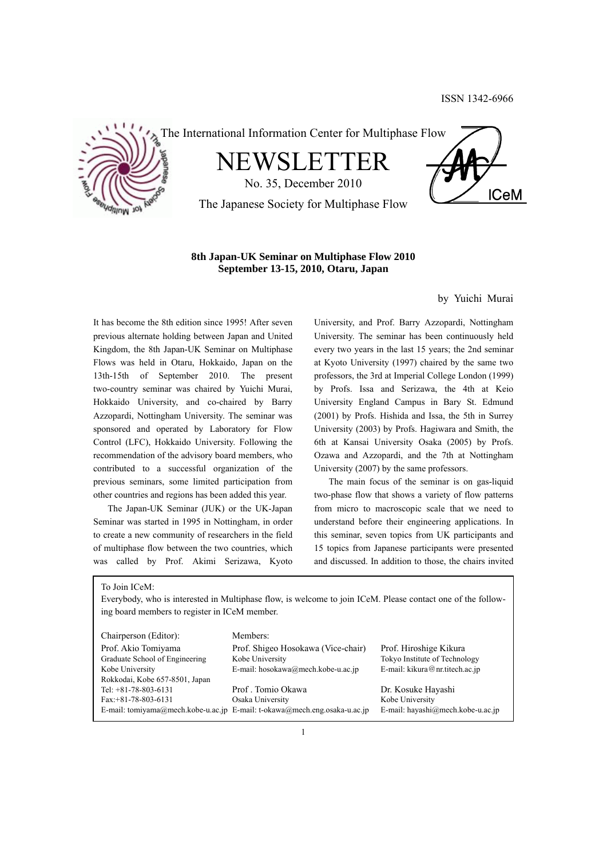

The International Information Center for Multiphase Flow

NEWSLETTER

No. 35, December 2010 The Japanese Society for Multiphase Flow



# **8th Japan-UK Seminar on Multiphase Flow 2010 September 13-15, 2010, Otaru, Japan**

by Yuichi Murai

It has become the 8th edition since 1995! After seven previous alternate holding between Japan and United Kingdom, the 8th Japan-UK Seminar on Multiphase Flows was held in Otaru, Hokkaido, Japan on the 13th-15th of September 2010. The present two-country seminar was chaired by Yuichi Murai, Hokkaido University, and co-chaired by Barry Azzopardi, Nottingham University. The seminar was sponsored and operated by Laboratory for Flow Control (LFC), Hokkaido University. Following the recommendation of the advisory board members, who contributed to a successful organization of the previous seminars, some limited participation from other countries and regions has been added this year.

 The Japan-UK Seminar (JUK) or the UK-Japan Seminar was started in 1995 in Nottingham, in order to create a new community of researchers in the field of multiphase flow between the two countries, which was called by Prof. Akimi Serizawa, Kyoto University, and Prof. Barry Azzopardi, Nottingham University. The seminar has been continuously held every two years in the last 15 years; the 2nd seminar at Kyoto University (1997) chaired by the same two professors, the 3rd at Imperial College London (1999) by Profs. Issa and Serizawa, the 4th at Keio University England Campus in Bary St. Edmund (2001) by Profs. Hishida and Issa, the 5th in Surrey University (2003) by Profs. Hagiwara and Smith, the 6th at Kansai University Osaka (2005) by Profs. Ozawa and Azzopardi, and the 7th at Nottingham University (2007) by the same professors.

 The main focus of the seminar is on gas-liquid two-phase flow that shows a variety of flow patterns from micro to macroscopic scale that we need to understand before their engineering applications. In this seminar, seven topics from UK participants and 15 topics from Japanese participants were presented and discussed. In addition to those, the chairs invited

To Join ICeM:

Everybody, who is interested in Multiphase flow, is welcome to join ICeM. Please contact one of the following board members to register in ICeM member.

| Chairperson (Editor):          | Members:                                                                  |                                   |
|--------------------------------|---------------------------------------------------------------------------|-----------------------------------|
| Prof. Akio Tomiyama            | Prof. Shigeo Hosokawa (Vice-chair)                                        | Prof. Hiroshige Kikura            |
| Graduate School of Engineering | Kobe University                                                           | Tokyo Institute of Technology     |
| Kobe University                | E-mail: hosokawa@mech.kobe-u.ac.jp                                        | E-mail: kikura@nr.titech.ac.jp    |
| Rokkodai, Kobe 657-8501, Japan |                                                                           |                                   |
| Tel: $+81-78-803-6131$         | Prof. Tomio Okawa                                                         | Dr. Kosuke Hayashi                |
| $Fax: +81-78-803-6131$         | Osaka University                                                          | Kobe University                   |
|                                | E-mail: tomiyama@mech.kobe-u.ac.jp E-mail: t-okawa@mech.eng.osaka-u.ac.jp | E-mail: hayashi@mech.kobe-u.ac.jp |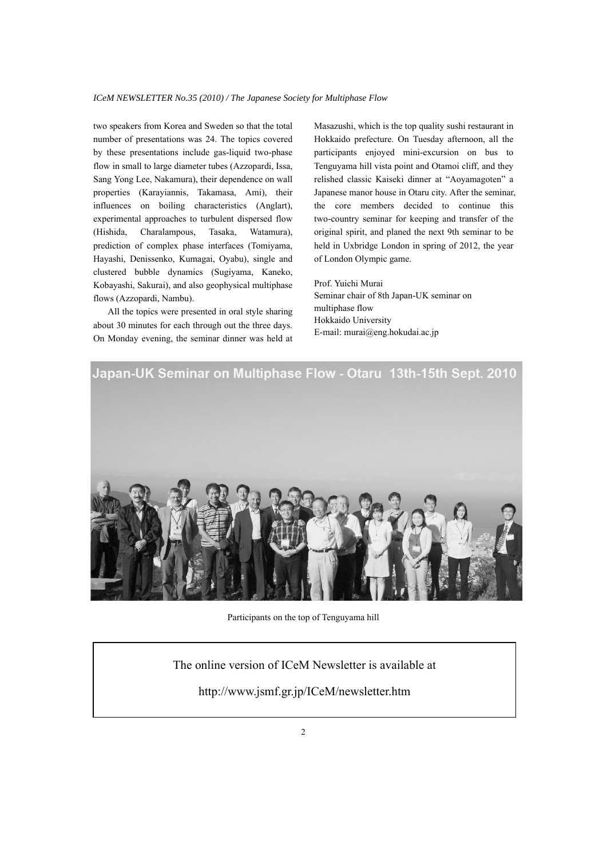two speakers from Korea and Sweden so that the total number of presentations was 24. The topics covered by these presentations include gas-liquid two-phase flow in small to large diameter tubes (Azzopardi, Issa, Sang Yong Lee, Nakamura), their dependence on wall properties (Karayiannis, Takamasa, Ami), their influences on boiling characteristics (Anglart), experimental approaches to turbulent dispersed flow (Hishida, Charalampous, Tasaka, Watamura), prediction of complex phase interfaces (Tomiyama, Hayashi, Denissenko, Kumagai, Oyabu), single and clustered bubble dynamics (Sugiyama, Kaneko, Kobayashi, Sakurai), and also geophysical multiphase flows (Azzopardi, Nambu).

 All the topics were presented in oral style sharing about 30 minutes for each through out the three days. On Monday evening, the seminar dinner was held at Masazushi, which is the top quality sushi restaurant in Hokkaido prefecture. On Tuesday afternoon, all the participants enjoyed mini-excursion on bus to Tenguyama hill vista point and Otamoi cliff, and they relished classic Kaiseki dinner at "Aoyamagoten" a Japanese manor house in Otaru city. After the seminar, the core members decided to continue this two-country seminar for keeping and transfer of the original spirit, and planed the next 9th seminar to be held in Uxbridge London in spring of 2012, the year of London Olympic game.

Prof. Yuichi Murai Seminar chair of 8th Japan-UK seminar on multiphase flow Hokkaido University E-mail: murai@eng.hokudai.ac.jp



Participants on the top of Tenguyama hill

# The online version of ICeM Newsletter is available at

http://www.jsmf.gr.jp/ICeM/newsletter.htm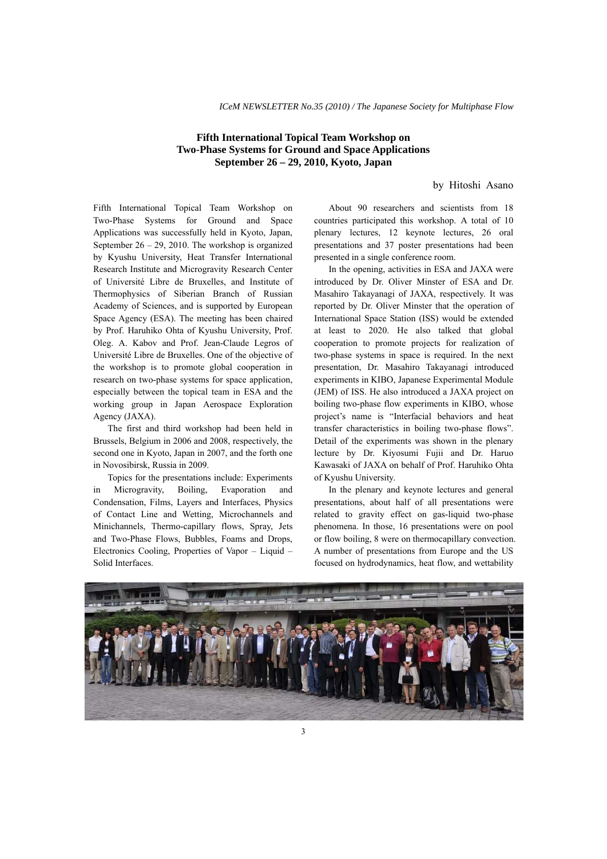# **Fifth International Topical Team Workshop on Two-Phase Systems for Ground and Space Applications September 26 – 29, 2010, Kyoto, Japan**

by Hitoshi Asano

Fifth International Topical Team Workshop on Two-Phase Systems for Ground and Space Applications was successfully held in Kyoto, Japan, September  $26 - 29$ , 2010. The workshop is organized by Kyushu University, Heat Transfer International Research Institute and Microgravity Research Center of Université Libre de Bruxelles, and Institute of Thermophysics of Siberian Branch of Russian Academy of Sciences, and is supported by European Space Agency (ESA). The meeting has been chaired by Prof. Haruhiko Ohta of Kyushu University, Prof. Oleg. A. Kabov and Prof. Jean-Claude Legros of Université Libre de Bruxelles. One of the objective of the workshop is to promote global cooperation in research on two-phase systems for space application, especially between the topical team in ESA and the working group in Japan Aerospace Exploration Agency (JAXA).

 The first and third workshop had been held in Brussels, Belgium in 2006 and 2008, respectively, the second one in Kyoto, Japan in 2007, and the forth one in Novosibirsk, Russia in 2009.

 Topics for the presentations include: Experiments in Microgravity, Boiling, Evaporation and Condensation, Films, Layers and Interfaces, Physics of Contact Line and Wetting, Microchannels and Minichannels, Thermo-capillary flows, Spray, Jets and Two-Phase Flows, Bubbles, Foams and Drops, Electronics Cooling, Properties of Vapor – Liquid – Solid Interfaces.

 About 90 researchers and scientists from 18 countries participated this workshop. A total of 10 plenary lectures, 12 keynote lectures, 26 oral presentations and 37 poster presentations had been presented in a single conference room.

 In the opening, activities in ESA and JAXA were introduced by Dr. Oliver Minster of ESA and Dr. Masahiro Takayanagi of JAXA, respectively. It was reported by Dr. Oliver Minster that the operation of International Space Station (ISS) would be extended at least to 2020. He also talked that global cooperation to promote projects for realization of two-phase systems in space is required. In the next presentation, Dr. Masahiro Takayanagi introduced experiments in KIBO, Japanese Experimental Module (JEM) of ISS. He also introduced a JAXA project on boiling two-phase flow experiments in KIBO, whose project's name is "Interfacial behaviors and heat transfer characteristics in boiling two-phase flows". Detail of the experiments was shown in the plenary lecture by Dr. Kiyosumi Fujii and Dr. Haruo Kawasaki of JAXA on behalf of Prof. Haruhiko Ohta of Kyushu University.

 In the plenary and keynote lectures and general presentations, about half of all presentations were related to gravity effect on gas-liquid two-phase phenomena. In those, 16 presentations were on pool or flow boiling, 8 were on thermocapillary convection. A number of presentations from Europe and the US focused on hydrodynamics, heat flow, and wettability

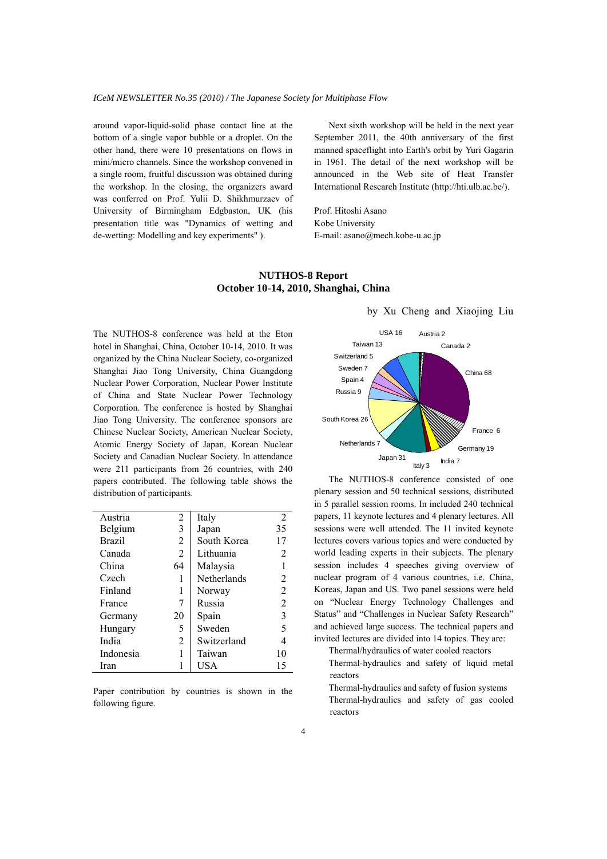around vapor-liquid-solid phase contact line at the bottom of a single vapor bubble or a droplet. On the other hand, there were 10 presentations on flows in mini/micro channels. Since the workshop convened in a single room, fruitful discussion was obtained during the workshop. In the closing, the organizers award was conferred on Prof. Yulii D. Shikhmurzaev of University of Birmingham Edgbaston, UK (his presentation title was "Dynamics of wetting and de-wetting: Modelling and key experiments" ).

 Next sixth workshop will be held in the next year September 2011, the 40th anniversary of the first manned spaceflight into Earth's orbit by Yuri Gagarin in 1961. The detail of the next workshop will be announced in the Web site of Heat Transfer International Research Institute (http://hti.ulb.ac.be/).

Prof. Hitoshi Asano Kobe University E-mail: asano@mech.kobe-u.ac.jp

# **NUTHOS-8 Report October 10-14, 2010, Shanghai, China**

The NUTHOS-8 conference was held at the Eton hotel in Shanghai, China, October 10-14, 2010. It was organized by the China Nuclear Society, co-organized Shanghai Jiao Tong University, China Guangdong Nuclear Power Corporation, Nuclear Power Institute of China and State Nuclear Power Technology Corporation. The conference is hosted by Shanghai Jiao Tong University. The conference sponsors are Chinese Nuclear Society, American Nuclear Society, Atomic Energy Society of Japan, Korean Nuclear Society and Canadian Nuclear Society. In attendance were 211 participants from 26 countries, with 240 papers contributed. The following table shows the distribution of participants.

| Austria       | 2              | Italy              | 2              |
|---------------|----------------|--------------------|----------------|
| Belgium       | 3              | Japan              | 35             |
| <b>Brazil</b> | 2              | South Korea        | 17             |
| Canada        | $\overline{2}$ | Lithuania          | 2              |
| China         | 64             | Malaysia           |                |
| Czech         |                | <b>Netherlands</b> | 2              |
| Finland       | 1              | Norway             | $\overline{2}$ |
| France        | 7              | Russia             | $\overline{2}$ |
| Germany       | 20             | Spain              | 3              |
| Hungary       | 5              | Sweden             | 5              |
| India         | 2              | Switzerland        | 4              |
| Indonesia     |                | Taiwan             | 10             |
| Iran          |                | USA                | 15             |

Paper contribution by countries is shown in the following figure.

#### China 68 Germany 19 Japan 31 Netherlands 7 South Korea 26 Russia 9 Spain 4 Sweden 7 Switzerland 5 Taiwan 13 USA 16 France 6 India 7 Italy 3 Austria 2 Canada 2

by Xu Cheng and Xiaojing Liu

 The NUTHOS-8 conference consisted of one plenary session and 50 technical sessions, distributed in 5 parallel session rooms. In included 240 technical papers, 11 keynote lectures and 4 plenary lectures. All sessions were well attended. The 11 invited keynote lectures covers various topics and were conducted by world leading experts in their subjects. The plenary session includes 4 speeches giving overview of nuclear program of 4 various countries, i.e. China, Koreas, Japan and US. Two panel sessions were held on "Nuclear Energy Technology Challenges and Status" and "Challenges in Nuclear Safety Research" and achieved large success. The technical papers and invited lectures are divided into 14 topics. They are:

Thermal/hydraulics of water cooled reactors

 Thermal-hydraulics and safety of liquid metal reactors

 Thermal-hydraulics and safety of fusion systems Thermal-hydraulics and safety of gas cooled reactors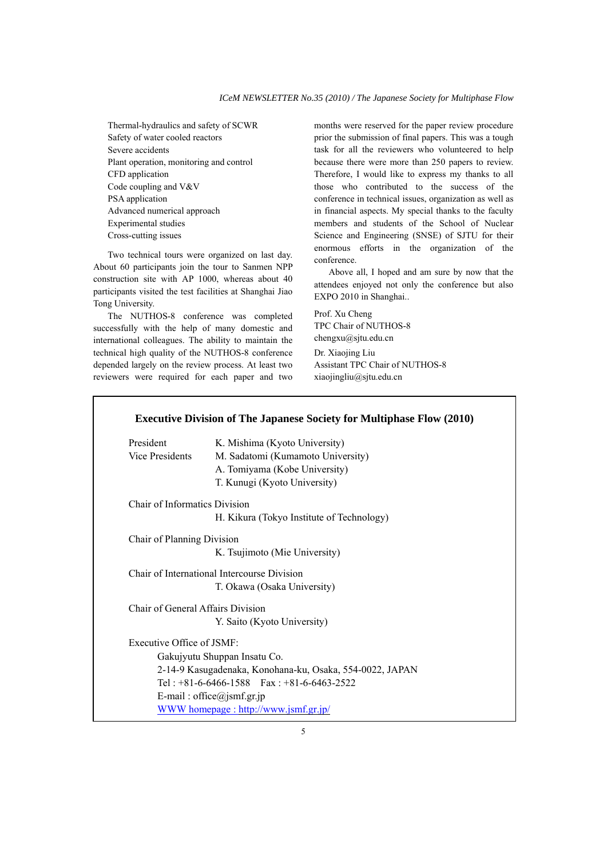Thermal-hydraulics and safety of SCWR Safety of water cooled reactors Severe accidents Plant operation, monitoring and control CFD application Code coupling and V&V PSA application Advanced numerical approach Experimental studies Cross-cutting issues

 Two technical tours were organized on last day. About 60 participants join the tour to Sanmen NPP construction site with AP 1000, whereas about 40 participants visited the test facilities at Shanghai Jiao Tong University.

 The NUTHOS-8 conference was completed successfully with the help of many domestic and international colleagues. The ability to maintain the technical high quality of the NUTHOS-8 conference depended largely on the review process. At least two reviewers were required for each paper and two months were reserved for the paper review procedure prior the submission of final papers. This was a tough task for all the reviewers who volunteered to help because there were more than 250 papers to review. Therefore, I would like to express my thanks to all those who contributed to the success of the conference in technical issues, organization as well as in financial aspects. My special thanks to the faculty members and students of the School of Nuclear Science and Engineering (SNSE) of SJTU for their enormous efforts in the organization of the conference.

 Above all, I hoped and am sure by now that the attendees enjoyed not only the conference but also EXPO 2010 in Shanghai..

Prof. Xu Cheng TPC Chair of NUTHOS-8 chengxu@sjtu.edu.cn Dr. Xiaojing Liu Assistant TPC Chair of NUTHOS-8 xiaojingliu@sjtu.edu.cn

# President K. Mishima (Kyoto University) Vice Presidents M. Sadatomi (Kumamoto University) A. Tomiyama (Kobe University) T. Kunugi (Kyoto University) Chair of Informatics Division H. Kikura (Tokyo Institute of Technology) Chair of Planning Division K. Tsujimoto (Mie University) Chair of International Intercourse Division T. Okawa (Osaka University) Chair of General Affairs Division Y. Saito (Kyoto University) Executive Office of JSMF: Gakujyutu Shuppan Insatu Co. 2-14-9 Kasugadenaka, Konohana-ku, Osaka, 554-0022, JAPAN Tel :  $+81-6-6466-1588$  Fax :  $+81-6-6463-2522$ E-mail: office@jsmf.gr.jp WWW homepage : http://www.jsmf.gr.jp/

# **Executive Division of The Japanese Society for Multiphase Flow (2010)**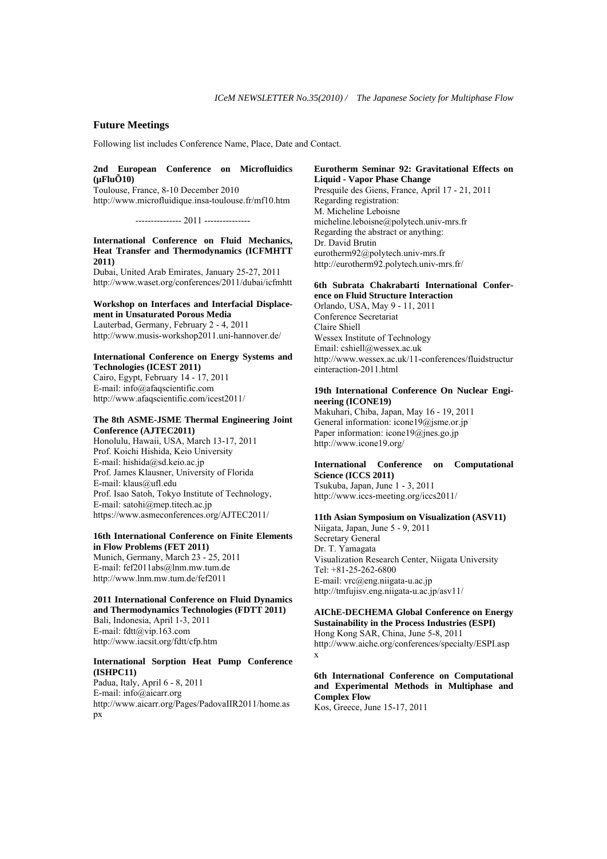# **Future Meetings**

Following list includes Conference Name, Place, Date and Contact.

# **2nd European Conference on Microfluidics (µFluÕ10)**

Toulouse, France, 8-10 December 2010 http://www.microfluidique.insa-toulouse.fr/mf10.htm

--------------- 2011 ---------------

## **International Conference on Fluid Mechanics, Heat Transfer and Thermodynamics (ICFMHTT 2011)**

Dubai, United Arab Emirates, January 25-27, 2011 http://www.waset.org/conferences/2011/dubai/icfmhtt

#### **Workshop on Interfaces and Interfacial Displacement in Unsaturated Porous Media**  Lauterbad, Germany, February 2 - 4, 2011

http://www.musis-workshop2011.uni-hannover.de/

#### **International Conference on Energy Systems and Technologies (ICEST 2011)**

Cairo, Egypt, February 14 - 17, 2011 E-mail: info@afaqscientific.com http://www.afaqscientific.com/icest2011/

## **The 8th ASME-JSME Thermal Engineering Joint Conference (AJTEC2011)**

Honolulu, Hawaii, USA, March 13-17, 2011 Prof. Koichi Hishida, Keio University E-mail: hishida@sd.keio.ac.jp Prof. James Klausner, University of Florida E-mail: klaus@ufl.edu Prof. Isao Satoh, Tokyo Institute of Technology, E-mail: satohi@mep.titech.ac.jp https://www.asmeconferences.org/AJTEC2011/

# **16th International Conference on Finite Elements in Flow Problems (FET 2011)**

Munich, Germany, March 23 - 25, 2011 E-mail: fef2011abs@lnm.mw.tum.de http://www.lnm.mw.tum.de/fef2011

#### **2011 International Conference on Fluid Dynamics and Thermodynamics Technologies (FDTT 2011)**

Bali, Indonesia, April 1-3, 2011 E-mail: fdtt@vip.163.com http://www.iacsit.org/fdtt/cfp.htm

# **International Sorption Heat Pump Conference (ISHPC11)**

Padua, Italy, April 6 - 8, 2011 E-mail: info@aicarr.org http://www.aicarr.org/Pages/PadovaIIR2011/home.as px

#### **Eurotherm Seminar 92: Gravitational Effects on Liquid - Vapor Phase Change**

Presquile des Giens, France, April 17 - 21, 2011 Regarding registration: M. Micheline Leboisne micheline.leboisne@polytech.univ-mrs.fr Regarding the abstract or anything: Dr. David Brutin eurotherm92@polytech.univ-mrs.fr http://eurotherm92.polytech.univ-mrs.fr/

# **6th Subrata Chakrabarti International Conference on Fluid Structure Interaction**

Orlando, USA, May 9 - 11, 2011 Conference Secretariat Claire Shiell Wessex Institute of Technology Email: cshiell@wessex.ac.uk http://www.wessex.ac.uk/11-conferences/fluidstructur einteraction-2011.html

# **19th International Conference On Nuclear Engineering (ICONE19)**

Makuhari, Chiba, Japan, May 16 - 19, 2011 General information: icone19@jsme.or.jp Paper information: icone19@jnes.go.jp http://www.icone19.org/

# **International Conference on Computational Science (ICCS 2011)**

Tsukuba, Japan, June 1 - 3, 2011 http://www.iccs-meeting.org/iccs2011/

#### **11th Asian Symposium on Visualization (ASV11)**

Niigata, Japan, June 5 - 9, 2011 Secretary General Dr. T. Yamagata Visualization Research Center, Niigata University Tel: +81-25-262-6800 E-mail: vrc@eng.niigata-u.ac.jp http://tmfujisv.eng.niigata-u.ac.jp/asv11/

# **AIChE-DECHEMA Global Conference on Energy Sustainability in the Process Industries (ESPI)**

Hong Kong SAR, China, June 5-8, 2011 http://www.aiche.org/conferences/specialty/ESPI.asp x

# **6th International Conference on Computational and Experimental Methods in Multiphase and Complex Flow**

Kos, Greece, June 15-17, 2011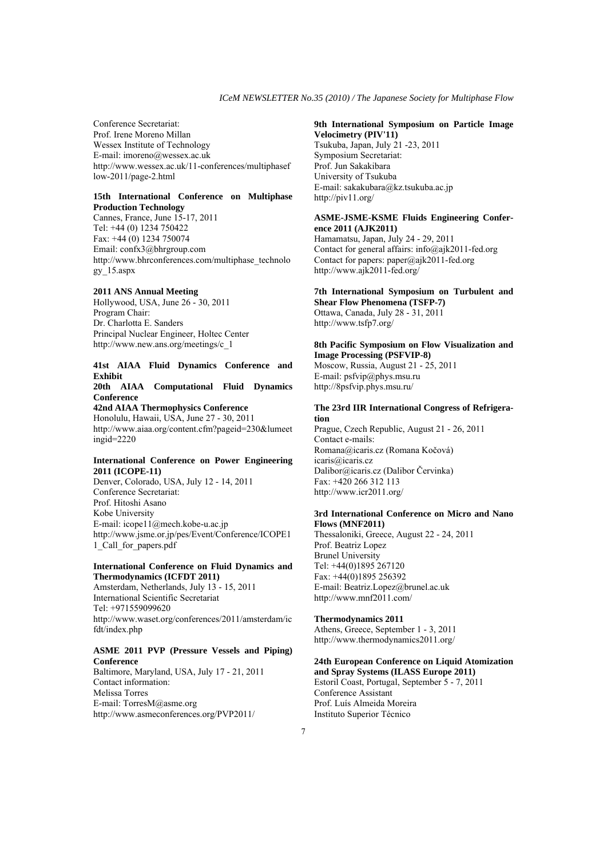Conference Secretariat: Prof. Irene Moreno Millan Wessex Institute of Technology E-mail: imoreno@wessex.ac.uk http://www.wessex.ac.uk/11-conferences/multiphasef low-2011/page-2.html

#### **15th International Conference on Multiphase Production Technology**

Cannes, France, June 15-17, 2011 Tel: +44 (0) 1234 750422 Fax: +44 (0) 1234 750074 Email: confx3@bhrgroup.com http://www.bhrconferences.com/multiphase\_technolo gy\_15.aspx

# **2011 ANS Annual Meeting**

Hollywood, USA, June 26 - 30, 2011 Program Chair: Dr. Charlotta E. Sanders Principal Nuclear Engineer, Holtec Center http://www.new.ans.org/meetings/c\_1

# **41st AIAA Fluid Dynamics Conference and Exhibit**

**20th AIAA Computational Fluid Dynamics Conference** 

## **42nd AIAA Thermophysics Conference**

Honolulu, Hawaii, USA, June 27 - 30, 2011 http://www.aiaa.org/content.cfm?pageid=230&lumeet ingid=2220

#### **International Conference on Power Engineering 2011 (ICOPE-11)**

Denver, Colorado, USA, July 12 - 14, 2011 Conference Secretariat: Prof. Hitoshi Asano Kobe University E-mail: icope11@mech.kobe-u.ac.jp http://www.jsme.or.jp/pes/Event/Conference/ICOPE1 1\_Call\_for\_papers.pdf

#### **International Conference on Fluid Dynamics and Thermodynamics (ICFDT 2011)**

Amsterdam, Netherlands, July 13 - 15, 2011 International Scientific Secretariat Tel: +971559099620 http://www.waset.org/conferences/2011/amsterdam/ic fdt/index.php

### **ASME 2011 PVP (Pressure Vessels and Piping) Conference**

Baltimore, Maryland, USA, July 17 - 21, 2011 Contact information: Melissa Torres E-mail: TorresM@asme.org http://www.asmeconferences.org/PVP2011/

#### **9th International Symposium on Particle Image Velocimetry (PIV'11)**

Tsukuba, Japan, July 21 -23, 2011 Symposium Secretariat: Prof. Jun Sakakibara University of Tsukuba E-mail: sakakubara@kz.tsukuba.ac.jp http://piv11.org/

## **ASME-JSME-KSME Fluids Engineering Conference 2011 (AJK2011)**

Hamamatsu, Japan, July 24 - 29, 2011 Contact for general affairs: info@ajk2011-fed.org Contact for papers:  $paper@aik2011-fed.org$ http://www.ajk2011-fed.org/

#### **7th International Symposium on Turbulent and Shear Flow Phenomena (TSFP-7)**

Ottawa, Canada, July 28 - 31, 2011 http://www.tsfp7.org/

## **8th Pacific Symposium on Flow Visualization and Image Processing (PSFVIP-8)**

Moscow, Russia, August 21 - 25, 2011 E-mail: psfvip@phys.msu.ru http://8psfvip.phys.msu.ru/

### **The 23rd IIR International Congress of Refrigeration**

Prague, Czech Republic, August 21 - 26, 2011 Contact e-mails: Romana@icaris.cz (Romana Kočová) icaris@icaris.cz Dalibor@icaris.cz (Dalibor Červinka) Fax: +420 266 312 113 http://www.icr2011.org/

## **3rd International Conference on Micro and Nano Flows (MNF2011)**

Thessaloniki, Greece, August 22 - 24, 2011 Prof. Beatriz Lopez Brunel University Tel: +44(0)1895 267120 Fax: +44(0)1895 256392 E-mail: Beatriz.Lopez@brunel.ac.uk http://www.mnf2011.com/

#### **Thermodynamics 2011**

Athens, Greece, September 1 - 3, 2011 http://www.thermodynamics2011.org/

#### **24th European Conference on Liquid Atomization and Spray Systems (ILASS Europe 2011)**

Estoril Coast, Portugal, September 5 - 7, 2011 Conference Assistant Prof. Luís Almeida Moreira Instituto Superior Técnico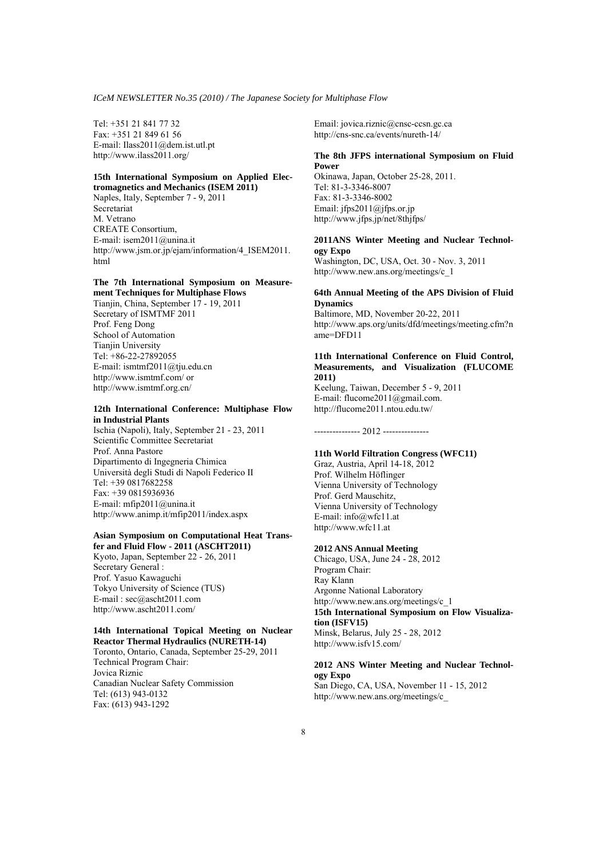Tel: +351 21 841 77 32 Fax: +351 21 849 61 56 E-mail: Ilass2011@dem.ist.utl.pt http://www.ilass2011.org/

#### **15th International Symposium on Applied Electromagnetics and Mechanics (ISEM 2011)**

Naples, Italy, September 7 - 9, 2011 Secretariat M. Vetrano CREATE Consortium, E-mail: isem2011@unina.it http://www.jsm.or.jp/ejam/information/4\_ISEM2011. html

#### **The 7th International Symposium on Measurement Techniques for Multiphase Flows**

Tianjin, China, September 17 - 19, 2011 Secretary of ISMTMF 2011 Prof. Feng Dong School of Automation Tianjin University Tel: +86-22-27892055 E-mail: ismtmf2011@tju.edu.cn http://www.ismtmf.com/ or http://www.ismtmf.org.cn/

# **12th International Conference: Multiphase Flow in Industrial Plants**

Ischia (Napoli), Italy, September 21 - 23, 2011 Scientific Committee Secretariat Prof. Anna Pastore Dipartimento di Ingegneria Chimica Università degli Studi di Napoli Federico II Tel: +39 0817682258 Fax: +39 0815936936 E-mail: mfip2011@unina.it http://www.animp.it/mfip2011/index.aspx

#### **Asian Symposium on Computational Heat Transfer and Fluid Flow - 2011 (ASCHT2011)**

Kyoto, Japan, September 22 - 26, 2011 Secretary General : Prof. Yasuo Kawaguchi Tokyo University of Science (TUS) E-mail : sec@ascht2011.com http://www.ascht2011.com/

#### **14th International Topical Meeting on Nuclear Reactor Thermal Hydraulics (NURETH-14)**

Toronto, Ontario, Canada, September 25-29, 2011 Technical Program Chair: Jovica Riznic Canadian Nuclear Safety Commission Tel: (613) 943-0132 Fax: (613) 943-1292

Email: jovica.riznic@cnsc-ccsn.gc.ca http://cns-snc.ca/events/nureth-14/

#### **The 8th JFPS international Symposium on Fluid Power**

Okinawa, Japan, October 25-28, 2011. Tel: 81-3-3346-8007 Fax: 81-3-3346-8002 Email: jfps2011@jfps.or.jp http://www.jfps.jp/net/8thjfps/

### **2011ANS Winter Meeting and Nuclear Technology Expo**

Washington, DC, USA, Oct. 30 - Nov. 3, 2011 http://www.new.ans.org/meetings/c\_1

#### **64th Annual Meeting of the APS Division of Fluid Dynamics**

Baltimore, MD, November 20-22, 2011 http://www.aps.org/units/dfd/meetings/meeting.cfm?n ame=DFD11

#### **11th International Conference on Fluid Control, Measurements, and Visualization (FLUCOME 2011)**

Keelung, Taiwan, December 5 - 9, 2011 E-mail: flucome2011@gmail.com. http://flucome2011.ntou.edu.tw/

--------------- 2012 ---------------

### **11th World Filtration Congress (WFC11)**

Graz, Austria, April 14-18, 2012 Prof. Wilhelm Höflinger Vienna University of Technology Prof. Gerd Mauschitz, Vienna University of Technology E-mail: info@wfc11.at http://www.wfc11.at

## **2012 ANS Annual Meeting**

Chicago, USA, June 24 - 28, 2012 Program Chair: Ray Klann Argonne National Laboratory http://www.new.ans.org/meetings/c\_1 **15th International Symposium on Flow Visualization (ISFV15)**  Minsk, Belarus, July 25 - 28, 2012 http://www.isfv15.com/

#### **2012 ANS Winter Meeting and Nuclear Technology Expo**  San Diego, CA, USA, November 11 - 15, 2012 http://www.new.ans.org/meetings/c\_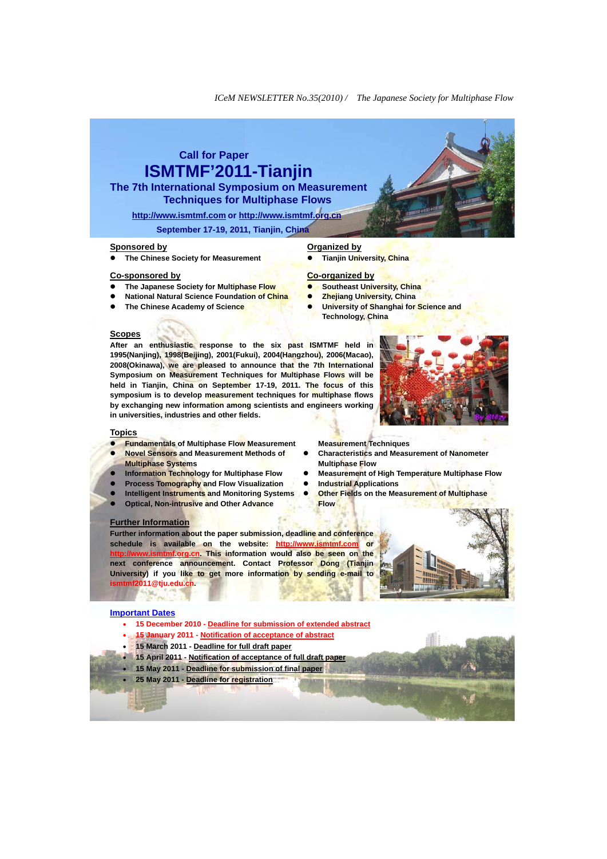# **Call for Paper ISMTMF'2011-Tianjin**

**The 7th International Symposium on Measurement Techniques for Multiphase Flows** 

**http://www.ismtmf.com or http://www.ismtmf.org.cn September 17-19, 2011, Tianjin, China** 

#### **Sponsored by**

z **The Chinese Society for Measurement** 

#### **Co-sponsored by**

- z **The Japanese Society for Multiphase Flow**
- **National Natural Science Foundation of China**
- z **The Chinese Academy of Science**

### **Organized by**

**Tianjin University, China** 

#### **Co-organized by**

- **Southeast University, China**
- **Zhejiang University, China**

**Measurement Techniques** 

**Industrial Applications** 

**Multiphase Flow** 

**Flow**

**Characteristics and Measurement of Nanometer** 

**Other Fields on the Measurement of Multiphase** 

**Measurement of High Temperature Multiphase Flow** 

**University of Shanghai for Science and Technology, China**

#### **Scopes**

**After an enthusiastic response to the six past ISMTMF held in 1995(Nanjing), 1998(Beijing), 2001(Fukui), 2004(Hangzhou), 2006(Macao), 2008(Okinawa), we are pleased to announce that the 7th International Symposium on Measurement Techniques for Multiphase Flows will be held in Tianjin, China on September 17-19, 2011. The focus of this symposium is to develop measurement techniques for multiphase flows by exchanging new information among scientists and engineers working in universities, industries and other fields.** 



#### **Topics**

- **Fundamentals of Multiphase Flow Measurement**
- **Novel Sensors and Measurement Methods of Multiphase Systems**
- **Information Technology for Multiphase Flow**
- **Process Tomography and Flow Visualization**
- **Intelligent Instruments and Monitoring Systems**
- **Optical, Non-intrusive and Other Advance**

#### **Further Information**

**Further information about the paper submission, deadline and conference schedule is available on the website: http://www.ismtmf.com or http://www.ismtmf.org.cn. This information would also be seen on the next conference announcement. Contact Professor Dong (Tianjin University) if you like to get more information by sending e-mail to ismtmf2011@tju.edu.cn.**

## **Important Dates**

- **15 December 2010 Deadline for submission of extended abstract**
- x **15 January 2011 Notification of acceptance of abstract**
- x **15 March 2011 Deadline for full draft paper**
- x **15 April 2011 Notification of acceptance of full draft paper**
- x **15 May 2011 Deadline for submission of final paper**
- x **25 May 2011 Deadline for registration**